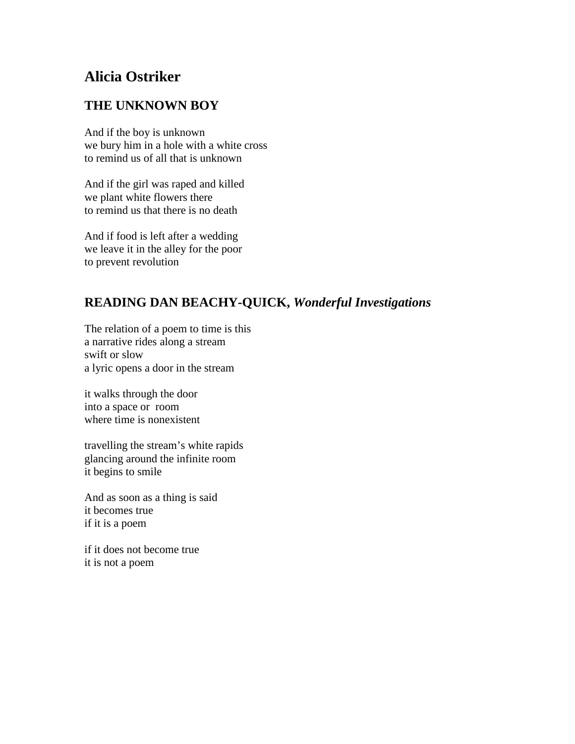# **Alicia Ostriker**

## **THE UNKNOWN BOY**

And if the boy is unknown we bury him in a hole with a white cross to remind us of all that is unknown

And if the girl was raped and killed we plant white flowers there to remind us that there is no death

And if food is left after a wedding we leave it in the alley for the poor to prevent revolution

# **READING DAN BEACHY-QUICK,** *Wonderful Investigations*

The relation of a poem to time is this a narrative rides along a stream swift or slow a lyric opens a door in the stream

it walks through the door into a space or room where time is nonexistent

travelling the stream's white rapids glancing around the infinite room it begins to smile

And as soon as a thing is said it becomes true if it is a poem

if it does not become true it is not a poem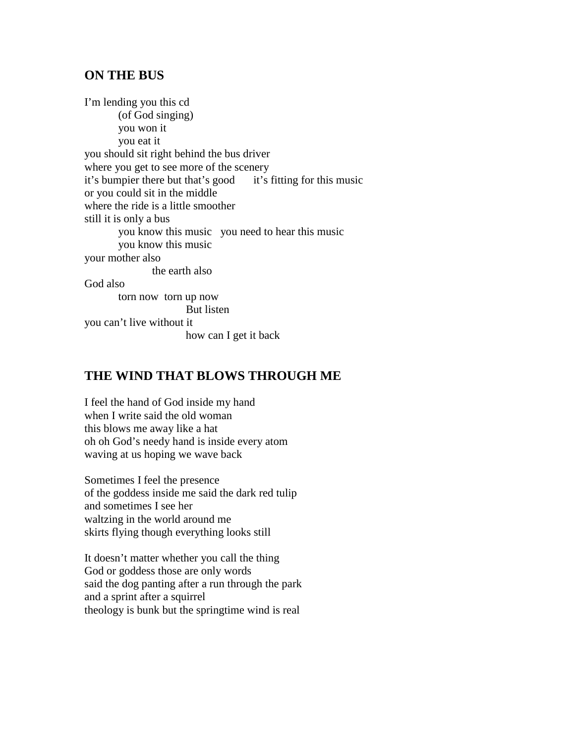#### **ON THE BUS**

I'm lending you this cd (of God singing) you won it you eat it you should sit right behind the bus driver where you get to see more of the scenery it's bumpier there but that's good it's fitting for this music or you could sit in the middle where the ride is a little smoother still it is only a bus you know this music you need to hear this music you know this music your mother also the earth also God also torn now torn up now But listen you can't live without it how can I get it back

## **THE WIND THAT BLOWS THROUGH ME**

I feel the hand of God inside my hand when I write said the old woman this blows me away like a hat oh oh God's needy hand is inside every atom waving at us hoping we wave back

Sometimes I feel the presence of the goddess inside me said the dark red tulip and sometimes I see her waltzing in the world around me skirts flying though everything looks still

It doesn't matter whether you call the thing God or goddess those are only words said the dog panting after a run through the park and a sprint after a squirrel theology is bunk but the springtime wind is real